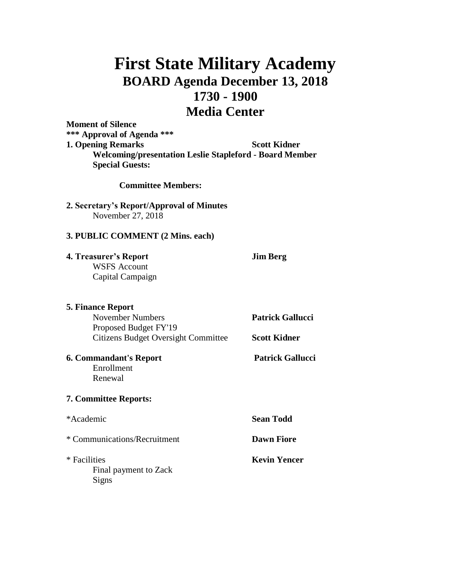# **First State Military Academy BOARD Agenda December 13, 2018 1730 - 1900 Media Center**

**Moment of Silence \*\*\* Approval of Agenda \*\*\* 1. Opening Remarks Scott Kidner Welcoming/presentation Leslie Stapleford - Board Member Special Guests:**

**Committee Members:**

## **2. Secretary's Report/Approval of Minutes** November 27, 2018

## **3. PUBLIC COMMENT (2 Mins. each)**

**4. Treasurer's Report Jim Berg** WSFS Account Capital Campaign

**5. Finance Report** November Numbers **Patrick Gallucci** Proposed Budget FY'19 Citizens Budget Oversight Committee **Scott Kidner**

**6. Commandant's Report Patrick Gallucci** Enrollment Renewal

# **7. Committee Reports:**

| *Academic                                      | <b>Sean Todd</b>    |
|------------------------------------------------|---------------------|
| * Communications/Recruitment                   | <b>Dawn Fiore</b>   |
| * Facilities<br>Final payment to Zack<br>Signs | <b>Kevin Yencer</b> |